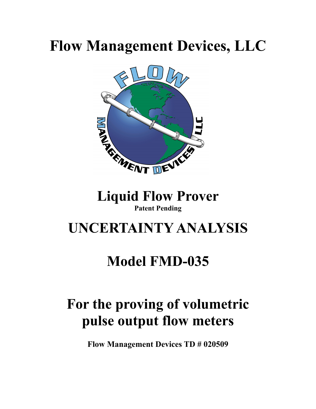# **Flow Management Devices, LLC**



# **Patent Pending**

### **UNCERTAINTY ANALYSIS**

### **Model FMD-035**

## **For the proving of volumetric pulse output flow meters**

**Flow Management Devices TD # 020509**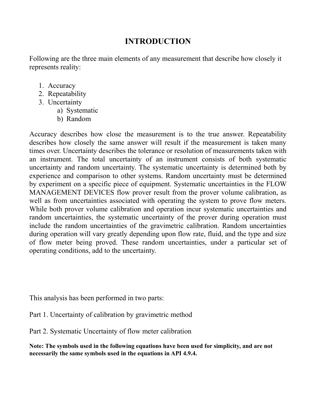### **INTRODUCTION**

Following are the three main elements of any measurement that describe how closely it represents reality:

- 1. Accuracy
- 2. Repeatability
- 3. Uncertainty
	- a) Systematic
	- b) Random

Accuracy describes how close the measurement is to the true answer. Repeatability describes how closely the same answer will result if the measurement is taken many times over. Uncertainty describes the tolerance or resolution of measurements taken with an instrument. The total uncertainty of an instrument consists of both systematic uncertainty and random uncertainty. The systematic uncertainty is determined both by experience and comparison to other systems. Random uncertainty must be determined by experiment on a specific piece of equipment. Systematic uncertainties in the FLOW MANAGEMENT DEVICES flow prover result from the prover volume calibration, as well as from uncertainties associated with operating the system to prove flow meters. While both prover volume calibration and operation incur systematic uncertainties and random uncertainties, the systematic uncertainty of the prover during operation must include the random uncertainties of the gravimetric calibration. Random uncertainties during operation will vary greatly depending upon flow rate, fluid, and the type and size of flow meter being proved. These random uncertainties, under a particular set of operating conditions, add to the uncertainty.

This analysis has been performed in two parts:

Part 1. Uncertainty of calibration by gravimetric method

Part 2. Systematic Uncertainty of flow meter calibration

**Note: The symbols used in the following equations have been used for simplicity, and are not necessarily the same symbols used in the equations in API 4.9.4.**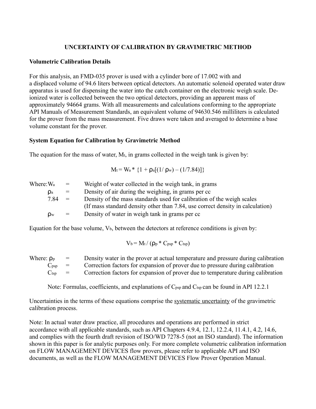#### **UNCERTAINTY OF CALIBRATION BY GRAVIMETRIC METHOD**

#### **Volumetric Calibration Details**

For this analysis, an FMD-035 prover is used with a cylinder bore of 17.002 with and a displaced volume of 94.6 liters between optical detectors. An automatic solenoid operated water draw apparatus is used for dispensing the water into the catch container on the electronic weigh scale. Deionized water is collected between the two optical detectors, providing an apparent mass of approximately 94664 grams. With all measurements and calculations conforming to the appropriate API Manuals of Measurement Standards, an equivalent volume of 94630.546 milliliters is calculated for the prover from the mass measurement. Five draws were taken and averaged to determine a base volume constant for the prover.

#### **System Equation for Calibration by Gravimetric Method**

The equation for the mass of water,  $M_t$ , in grams collected in the weigh tank is given by:

$$
M_t = W_a * \{1 + \rho_a[(1/\rho_w) - (1/7.84)]\}
$$

| Where: Wa      | $=$          | Weight of water collected in the weigh tank, in grams                          |
|----------------|--------------|--------------------------------------------------------------------------------|
| $\mathsf{p}_a$ | $=$          | Density of air during the weighing, in grams per cc                            |
| 7.84           | $\alpha = 1$ | Density of the mass standards used for calibration of the weigh scales         |
|                |              | (If mass standard density other than 7.84, use correct density in calculation) |
| <b>Dw</b>      | $=$          | Density of water in weigh tank in grams per cc.                                |

Equation for the base volume,  $V_b$ , between the detectors at reference conditions is given by:

$$
V_b = M_t / (\rho_p * C_{psp} * C_{tsp})
$$

| Where: $\rho_{p}$           | $\equiv$                  | Density water in the prover at actual temperature and pressure during calibration |
|-----------------------------|---------------------------|-----------------------------------------------------------------------------------|
| $\mathbf{C}_{\mathrm{DSD}}$ | $\mathbf{r} = \mathbf{r}$ | Correction factors for expansion of prover due to pressure during calibration     |
| $\mathbf{C}$ tsp            | $\equiv$                  | Correction factors for expansion of prover due to temperature during calibration  |

Note: Formulas, coefficients, and explanations of C<sub>psp</sub> and C<sub>tsp</sub> can be found in API 12.2.1

Uncertainties in the terms of these equations comprise the systematic uncertainty of the gravimetric calibration process.

Note: In actual water draw practice, all procedures and operations are performed in strict accordance with all applicable standards, such as API Chapters 4.9.4, 12.1, 12.2.4, 11.4.1, 4.2, 14.6, and complies with the fourth draft revision of ISO/WD 7278-5 (not an ISO standard). The information shown in this paper is for analytic purposes only. For more complete volumetric calibration information on FLOW MANAGEMENT DEVICES flow provers, please refer to applicable API and ISO documents, as well as the FLOW MANAGEMENT DEVICES Flow Prover Operation Manual.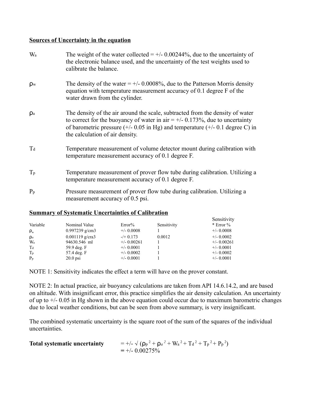#### **Sources of Uncertainty in the equation**

| Wa             | The weight of the water collected $= +/- 0.00244\%$ , due to the uncertainty of<br>the electronic balance used, and the uncertainty of the test weights used to<br>calibrate the balance.                                                                                                              |
|----------------|--------------------------------------------------------------------------------------------------------------------------------------------------------------------------------------------------------------------------------------------------------------------------------------------------------|
| $\rho_{\rm w}$ | The density of the water $= +/2.0008\%$ , due to the Patterson Morris density<br>equation with temperature measurement accuracy of 0.1 degree F of the<br>water drawn from the cylinder.                                                                                                               |
| $\mathsf{p}_a$ | The density of the air around the scale, subtracted from the density of water<br>to correct for the buoyancy of water in air = $+/$ 0.173%, due to uncertainty<br>of barometric pressure $(+/- 0.05 \text{ in Hg})$ and temperature $(+/- 0.1 \text{ degree C})$ in<br>the calculation of air density. |
| $T_d$          | Temperature measurement of volume detector mount during calibration with<br>temperature measurement accuracy of 0.1 degree F.                                                                                                                                                                          |
| $T_{p}$        | Temperature measurement of prover flow tube during calibration. Utilizing a<br>temperature measurement accuracy of 0.1 degree F.                                                                                                                                                                       |
| $P_p$          | Pressure measurement of prover flow tube during calibration. Utilizing a<br>measurement accuracy of 0.5 psi.                                                                                                                                                                                           |

#### **Summary of Systematic Uncertainties of Calibration**

| Variable       | Nominal Value     | Error%        | Sensitivity | Sensitivity<br>$*$ Error % |
|----------------|-------------------|---------------|-------------|----------------------------|
| $\rho_w$       | $0.997239$ g/cm3  | $+/- 0.0008$  |             | $+/- 0.0008$               |
| $\mathsf{p}_a$ | $0.001119$ g/cra3 | $-$ /+ 0.173  | 0.0012      | $+/- 0.0002$               |
| W <sub>a</sub> | 94630.546 ml      | $+/- 0.00261$ |             | $+/- 0.00261$              |
| Ta             | 59.9 deg. F       | $+/- 0.0001$  |             | $+/- 0.0001$               |
| $T_{p}$        | 57.4 deg. F       | $+/- 0.0002$  |             | $+/- 0.0002$               |
| $P_p$          | $20.0$ psi        | $+/- 0.0001$  |             | $+/- 0.0001$               |

NOTE 1: Sensitivity indicates the effect a term will have on the prover constant.

NOTE 2: In actual practice, air buoyancy calculations are taken from API 14.6.14.2, and are based on altitude. With insignificant error, this practice simplifies the air density calculation. An uncertainty of up to  $+/- 0.05$  in Hg shown in the above equation could occur due to maximum barometric changes due to local weather conditions, but can be seen from above summary, is very insignificant.

The combined systematic uncertainty is the square root of the sum of the squares of the individual uncertainties.

| <b>Total systematic uncertainty</b> | $= +/- \sqrt{(\rho_p^2 + \rho_a^2 + W_a^2 + T_d^2 + T_p^2 + P_p^2)}$ |
|-------------------------------------|----------------------------------------------------------------------|
|                                     | $= +/- 0.00275\%$                                                    |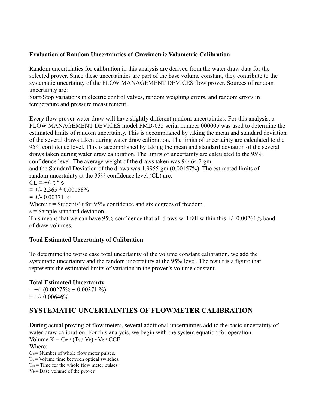#### **Evaluation of Random Uncertainties of Gravimetric Volumetric Calibration**

Random uncertainties for calibration in this analysis are derived from the water draw data for the selected prover. Since these uncertainties are part of the base volume constant, they contribute to the systematic uncertainty of the FLOW MANAGEMENT DEVICES flow prover. Sources of random uncertainty are:

Start/Stop variations in electric control valves, random weighing errors, and random errors in temperature and pressure measurement.

Every flow prover water draw will have slightly different random uncertainties. For this analysis, a FLOW MANAGEMENT DEVICES model FMD-035 serial number 000005 was used to determine the estimated limits of random uncertainty. This is accomplished by taking the mean and standard deviation of the several draws taken during water draw calibration. The limits of uncertainty are calculated to the 95% confidence level. This is accomplished by taking the mean and standard deviation of the several draws taken during water draw calibration. The limits of uncertainty are calculated to the 95% confidence level. The average weight of the draws taken was 94464.2 gm,

and the Standard Deviation of the draws was 1.9955 gm (0.00157%). The estimated limits of random uncertainty at the 95% confidence level (CL) are:

 $CL = +/- t * s$ 

 $= +/- 2.365 * 0.00158%$ 

 $= +/- 0.00371 \%$ 

Where:  $t =$  Students' t for 95% confidence and six degrees of freedom.

s = Sample standard deviation.

This means that we can have 95% confidence that all draws will fall within this  $+/- 0.00261\%$  band of draw volumes.

#### **Total Estimated Uncertainty of Calibration**

To determine the worse case total uncertainty of the volume constant calibration, we add the systematic uncertainty and the random uncertainty at the 95% level. The result is a figure that represents the estimated limits of variation in the prover's volume constant.

#### **Total Estimated Uncertainty**

 $= +/- (0.00275\% + 0.00371\%)$  $= +/- 0.00646%$ 

### **SYSTEMATIC UNCERTAINTIES OF FLOWMETER CALIBRATION**

During actual proving of flow meters, several additional uncertainties add to the basic uncertainty of water draw calibration. For this analysis, we begin with the system equation for operation. Volume  $K = C_m * (T_v / V_b) * V_b * CCF$ Where:

 $C_m$ = Number of whole flow meter pulses.

 $T_v$  = Volume time between optical switches.

 $T_m$  = Time for the whole flow meter pulses.

 $V_b$  = Base volume of the prover.